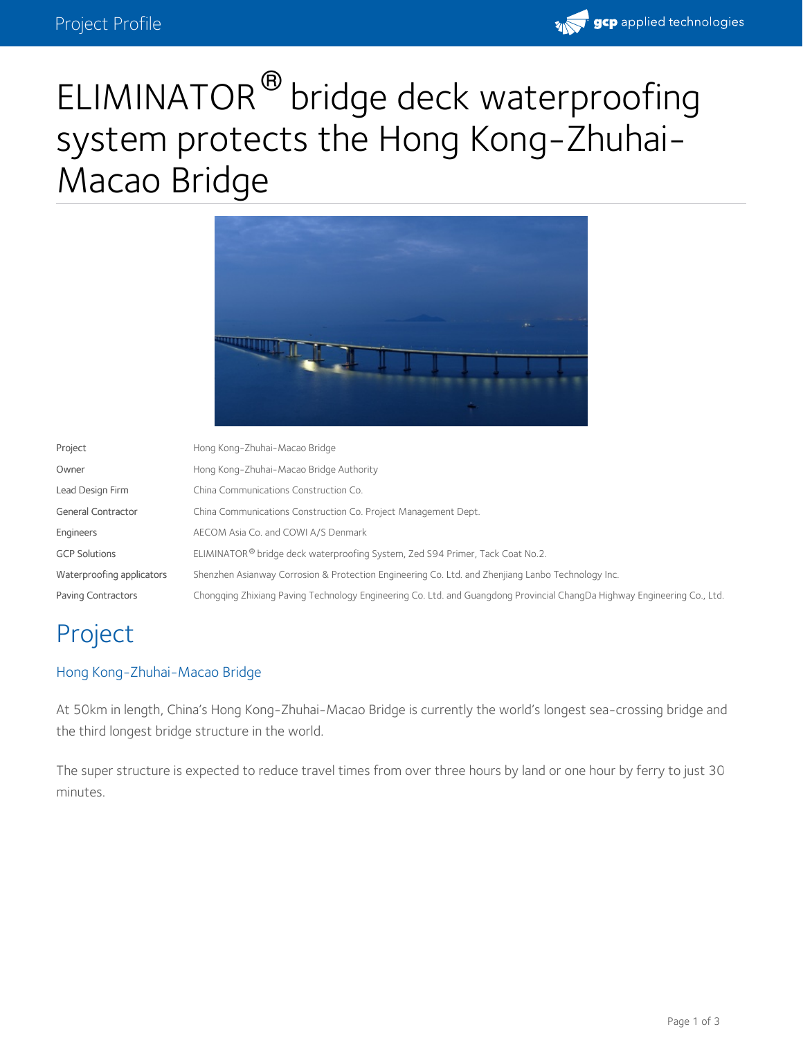

# ELIMINATOR<sup>®</sup> bridge deck waterproofing system protects the Hong Kong-Zhuhai- Macao Bridge



| Project                   | Hong Kong-Zhuhai-Macao Bridge                                                                                            |
|---------------------------|--------------------------------------------------------------------------------------------------------------------------|
| Owner                     | Hong Kong-Zhuhai-Macao Bridge Authority                                                                                  |
| Lead Design Firm          | China Communications Construction Co.                                                                                    |
| <b>General Contractor</b> | China Communications Construction Co. Project Management Dept.                                                           |
| Engineers                 | AECOM Asia Co. and COWI A/S Denmark                                                                                      |
| <b>GCP Solutions</b>      | ELIMINATOR® bridge deck waterproofing System, Zed S94 Primer, Tack Coat No.2.                                            |
| Waterproofing applicators | Shenzhen Asianway Corrosion & Protection Engineering Co. Ltd. and Zhenjiang Lanbo Technology Inc.                        |
| Paving Contractors        | Chongging Zhixiang Paving Technology Engineering Co. Ltd. and Guangdong Provincial ChangDa Highway Engineering Co., Ltd. |

## Project

#### Hong Kong-Zhuhai-Macao Bridge

At 50km in length, China's Hong Kong-Zhuhai-Macao Bridge is currently the world's longest sea-crossing bridge and the third longest bridge structure in the world.

The super structure is expected to reduce travel times from over three hours by land or one hour by ferry to just 30 minutes.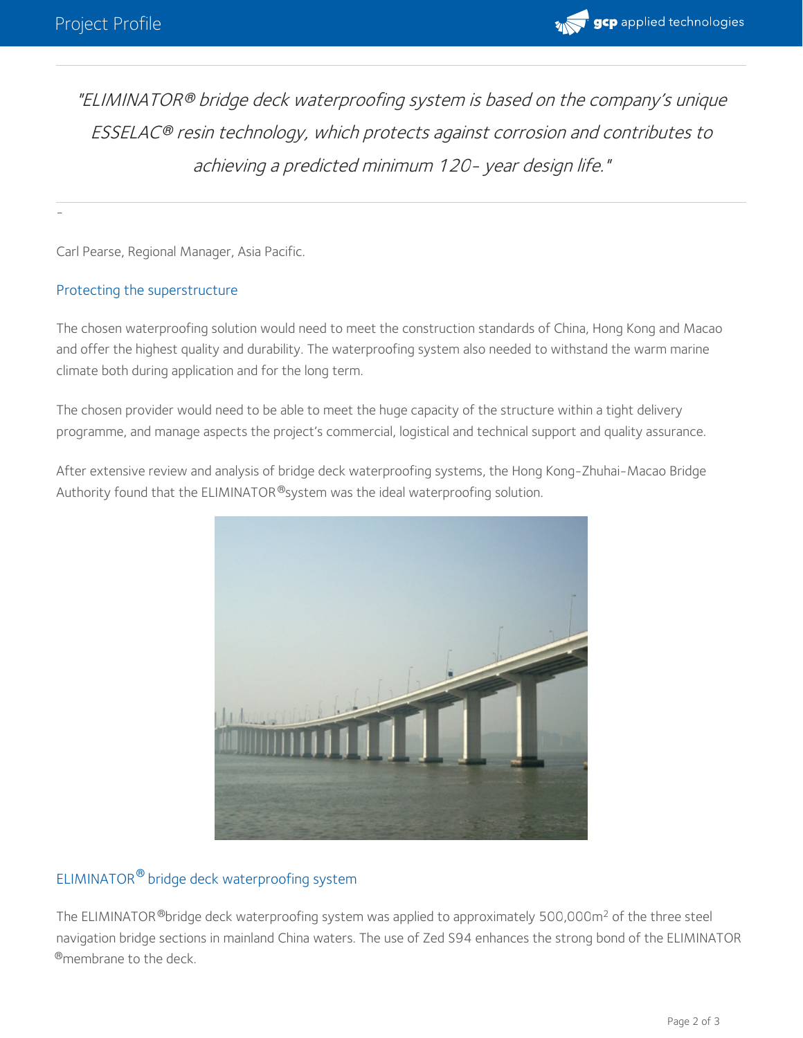-



"ELIMINATOR® bridge deck waterproofing system is based on the company's unique ESSELAC resin technology, which protects against corrosion and contributes to *®* achieving <sup>a</sup> predicted minimum 120- year design life."

Carl Pearse, Regional Manager, Asia Pacific.

#### Protecting the superstructure

The chosen waterproofing solution would need to meet the construction standards of China, Hong Kong and Macao and offer the highest quality and durability. The waterproofing system also needed to withstand the warm marine climate both during application and for the long term.

The chosen provider would need to be able to meet the huge capacity of the structure within a tight delivery programme, and manage aspects the project's commercial, logistical and technical support and quality assurance.

After extensive review and analysis of bridge deck waterproofing systems, the Hong Kong-Zhuhai-Macao Bridge Authority found that the ELIMINATOR®system was the ideal waterproofing solution.



#### ELIMINATOR® bridge deck waterproofing system

The ELIMINATOR  $^{\circledR}$ bridge deck waterproofing system was applied to approximately 500,000m<sup>2</sup> of the three steel navigation bridge sections in mainland China waters. The use of Zed S94 enhances the strong bond of the ELIMINATOR  $^{\circledR}$ membrane to the deck.